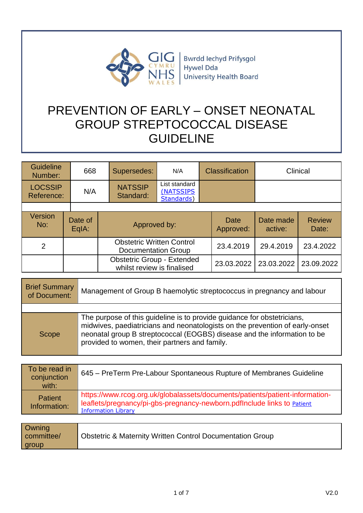

**Bwrdd lechyd Prifysgol** Hywel Dda University Health Board

# PREVENTION OF EARLY – ONSET NEONATAL GROUP STREPTOCOCCAL DISEASE GUIDELINE

| <b>Guideline</b><br>Number:  | 668              | Supersedes:                                                     | N/A                                      | <b>Classification</b> |                          | Clinical             |                        |
|------------------------------|------------------|-----------------------------------------------------------------|------------------------------------------|-----------------------|--------------------------|----------------------|------------------------|
| <b>LOCSSIP</b><br>Reference: | N/A              | <b>NATSSIP</b><br>Standard:                                     | List standard<br>(NATSSIPS<br>Standards) |                       |                          |                      |                        |
|                              |                  |                                                                 |                                          |                       |                          |                      |                        |
| <b>Version</b><br>No:        | Date of<br>EqIA: | Approved by:                                                    |                                          |                       | <b>Date</b><br>Approved: | Date made<br>active: | <b>Review</b><br>Date: |
| $\overline{2}$               |                  | <b>Obstetric Written Control</b><br><b>Documentation Group</b>  |                                          |                       | 23.4.2019                | 29.4.2019            | 23.4.2022              |
|                              |                  | <b>Obstetric Group - Extended</b><br>whilst review is finalised |                                          |                       | 23.03.2022               | 23.03.2022           | 23.09.2022             |

| <b>Brief Summary</b><br>of Document: | Management of Group B haemolytic streptococcus in pregnancy and labour                                                                                                                                                                                                               |  |
|--------------------------------------|--------------------------------------------------------------------------------------------------------------------------------------------------------------------------------------------------------------------------------------------------------------------------------------|--|
|                                      |                                                                                                                                                                                                                                                                                      |  |
| Scope                                | The purpose of this guideline is to provide guidance for obstetricians,<br>midwives, paediatricians and neonatologists on the prevention of early-onset<br>neonatal group B streptococcal (EOGBS) disease and the information to be<br>provided to women, their partners and family. |  |

| To be read in<br>conjunction   | 645 – PreTerm Pre-Labour Spontaneous Rupture of Membranes Guideline                                                                                                                   |
|--------------------------------|---------------------------------------------------------------------------------------------------------------------------------------------------------------------------------------|
| with:                          |                                                                                                                                                                                       |
| <b>Patient</b><br>Information: | https://www.rcog.org.uk/globalassets/documents/patients/patient-information-<br>leaflets/pregnancy/pi-gbs-pregnancy-newborn.pdflnclude links to Patient<br><b>Information Library</b> |

| <b>Owning</b><br>committee/<br>  group | Obstetric & Maternity Written Control Documentation Group |
|----------------------------------------|-----------------------------------------------------------|
|----------------------------------------|-----------------------------------------------------------|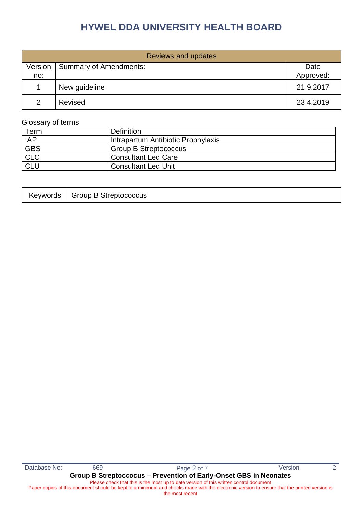| <b>Reviews and updates</b> |                               |           |  |  |
|----------------------------|-------------------------------|-----------|--|--|
| Version                    | <b>Summary of Amendments:</b> | Date      |  |  |
| no:                        |                               | Approved: |  |  |
|                            | New guideline                 | 21.9.2017 |  |  |
| $\mathcal{P}$              | Revised                       | 23.4.2019 |  |  |

### Glossary of terms

| Term       | <b>Definition</b>                  |
|------------|------------------------------------|
| <b>IAP</b> | Intrapartum Antibiotic Prophylaxis |
| <b>GBS</b> | <b>Group B Streptococcus</b>       |
| CLC        | <b>Consultant Led Care</b>         |
| CLL        | <b>Consultant Led Unit</b>         |

|  | Keywords   Group B Streptococcus |
|--|----------------------------------|
|--|----------------------------------|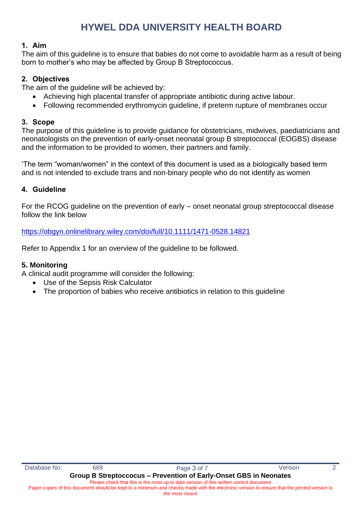### **1. Aim**

The aim of this guideline is to ensure that babies do not come to avoidable harm as a result of being born to mother's who may be affected by Group B Streptococcus.

# **2. Objectives**

The aim of the guideline will be achieved by:

- Achieving high placental transfer of appropriate antibiotic during active labour.
- Following recommended erythromycin guideline, if preterm rupture of membranes occur

## **3. Scope**

The purpose of this guideline is to provide guidance for obstetricians, midwives, paediatricians and neonatologists on the prevention of early-onset neonatal group B streptococcal (EOGBS) disease and the information to be provided to women, their partners and family.

'The term "woman/women" in the context of this document is used as a biologically based term and is not intended to exclude trans and non-binary people who do not identify as women

## **4. Guideline**

For the RCOG guideline on the prevention of early – onset neonatal group streptococcal disease follow the link below

<https://obgyn.onlinelibrary.wiley.com/doi/full/10.1111/1471-0528.14821>

Refer to Appendix 1 for an overview of the guideline to be followed.

### **5. Monitoring**

A clinical audit programme will consider the following:

- Use of the Sepsis Risk Calculator
- The proportion of babies who receive antibiotics in relation to this quideline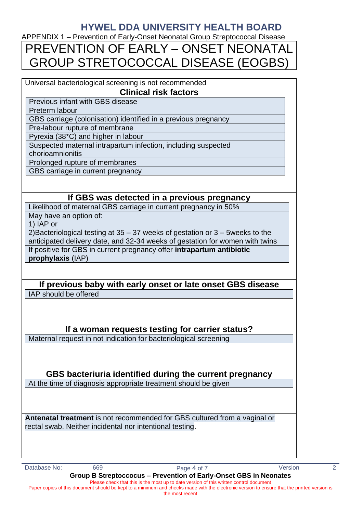APPENDIX 1 – Prevention of Early-Onset Neonatal Group Streptococcal Disease

# PREVENTION OF EARLY – ONSET NEONATAL GROUP STRETOCOCCAL DISEASE (EOGBS)

#### Universal bacteriological screening is not recommended **Clinical risk factors**

Previous infant with GBS disease

Preterm labour

GBS carriage (colonisation) identified in a previous pregnancy

Pre-labour rupture of membrane

Pyrexia (38\*C) and higher in labour

Suspected maternal intrapartum infection, including suspected

chorioamnionitis

Prolonged rupture of membranes

GBS carriage in current pregnancy

# **If GBS was detected in a previous pregnancy**

Likelihood of maternal GBS carriage in current pregnancy in 50%

May have an option of:

1) IAP or

2)Bacteriological testing at 35 – 37 weeks of gestation or 3 – 5weeks to the anticipated delivery date, and 32-34 weeks of gestation for women with twins If positive for GBS in current pregnancy offer **intrapartum antibiotic prophylaxis** (IAP)

# **If previous baby with early onset or late onset GBS disease** IAP should be offered

# **If a woman requests testing for carrier status?**

Maternal request in not indication for bacteriological screening

**GBS bacteriuria identified during the current pregnancy** At the time of diagnosis appropriate treatment should be given

**Antenatal treatment** is not recommended for GBS cultured from a vaginal or rectal swab. Neither incidental nor intentional testing.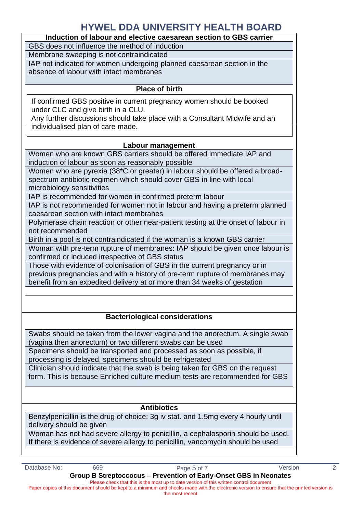# **Induction of labour and elective caesarean section to GBS carrier** GBS does not influence the method of induction Membrane sweeping is not contraindicated IAP not indicated for women undergoing planned caesarean section in the absence of labour with intact membranes **Place of birth Labour management** Women who are known GBS carriers should be offered immediate IAP and induction of labour as soon as reasonably possible Women who are pyrexia (38\*C or greater) in labour should be offered a broadspectrum antibiotic regimen which should cover GBS in line with local microbiology sensitivities IAP is recommended for women in confirmed preterm labour IAP is not recommended for women not in labour and having a preterm planned caesarean section with intact membranes Polymerase chain reaction or other near-patient testing at the onset of labour in not recommended Birth in a pool is not contraindicated if the woman is a known GBS carrier Woman with pre-term rupture of membranes: IAP should be given once labour is confirmed or induced irrespective of GBS status Those with evidence of colonisation of GBS in the current pregnancy or in previous pregnancies and with a history of pre-term rupture of membranes may benefit from an expedited delivery at or more than 34 weeks of gestation If confirmed GBS positive in current pregnancy women should be booked under CLC and give birth in a CLU. Any further discussions should take place with a Consultant Midwife and an individualised plan of care made.

# **Bacteriological considerations**

Swabs should be taken from the lower vagina and the anorectum. A single swab (vagina then anorectum) or two different swabs can be used

Specimens should be transported and processed as soon as possible, if processing is delayed, specimens should be refrigerated

Clinician should indicate that the swab is being taken for GBS on the request form. This is because Enriched culture medium tests are recommended for GBS

### **Antibiotics**

Benzylpenicillin is the drug of choice: 3g iv stat. and 1.5mg every 4 hourly until delivery should be given

Woman has not had severe allergy to penicillin, a cephalosporin should be used. If there is evidence of severe allergy to penicillin, vancomycin should be used

the most recent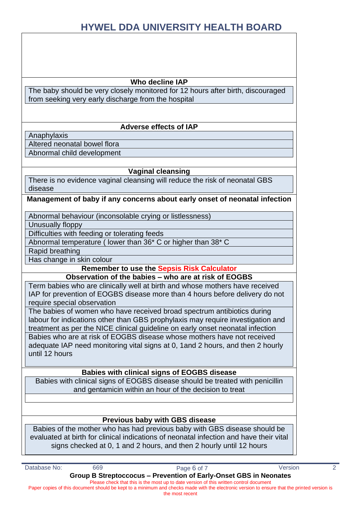#### **Who decline IAP**

The baby should be very closely monitored for 12 hours after birth, discouraged from seeking very early discharge from the hospital

### **Adverse effects of IAP**

Anaphylaxis

Altered neonatal bowel flora

Abnormal child development

### **Vaginal cleansing**

There is no evidence vaginal cleansing will reduce the risk of neonatal GBS disease

### **Management of baby if any concerns about early onset of neonatal infection**

Abnormal behaviour (inconsolable crying or listlessness)

Unusually floppy

Difficulties with feeding or tolerating feeds

Abnormal temperature ( lower than 36\* C or higher than 38\* C

Rapid breathing

Has change in skin colour

**Remember to use the Sepsis Risk Calculator**

**Observation of the babies – who are at risk of EOGBS**

Term babies who are clinically well at birth and whose mothers have received IAP for prevention of EOGBS disease more than 4 hours before delivery do not require special observation

The babies of women who have received broad spectrum antibiotics during labour for indications other than GBS prophylaxis may require investigation and treatment as per the NICE clinical guideline on early onset neonatal infection Babies who are at risk of EOGBS disease whose mothers have not received adequate IAP need monitoring vital signs at 0, 1and 2 hours, and then 2 hourly until 12 hours

### **Babies with clinical signs of EOGBS disease**

Babies with clinical signs of EOGBS disease should be treated with penicillin and gentamicin within an hour of the decision to treat

### **Previous baby with GBS disease**

Babies of the mother who has had previous baby with GBS disease should be evaluated at birth for clinical indications of neonatal infection and have their vital signs checked at 0, 1 and 2 hours, and then 2 hourly until 12 hours